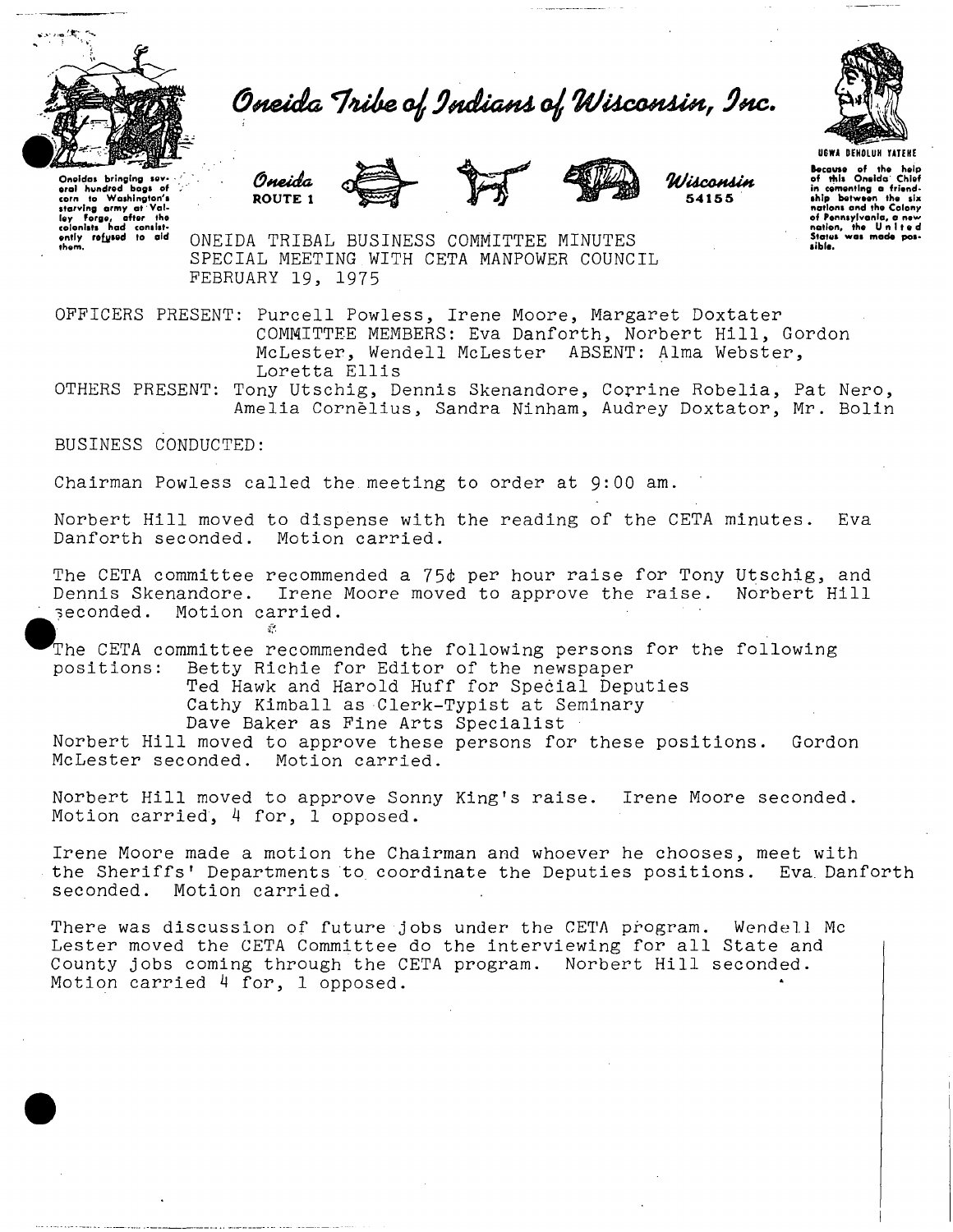

Oneida Tribe of Indians of Wisconsin, Inc.

Oneidas bringing sev-<br>erol hundred bogs of<br>starving army at Val-<br>iey Forge, after the<br>colonists had consist-<br>ently rofysed to aid<br>ently rofysed to aid<br>them.











Because of the help of this Oneida Chief in cementing a friend-<br>ship : between the six<br>nations and the Colony of Pennsylvania, a new nation, the Unite d Status was made p sible.

ONEIDA TRIBAL BUSINESS COMMITTEE MINUTES SPECIAL MEETING WITH CETA MANPOWER COUNCIL FEBRUARY 19, 1975

OFFICERS PRESENT: Purcell Powless, Irene Moore, Margaret Doxtater COMMITTEE MEMBERS: Eva Danforth, Norbert Hill, Gordon McLester, Wendell McLester ABSENT: Alma Webster, Loretta Ellis

OTHERS PRESENT: Tony Utschig, Dennis Skenandore, Corrine Robelia, Pat Nero, Amelia Cornelius, Sandra Ninham, Audrey Doxtator, Mr. Bolin

BUSINESS CONDUCTED:

Chairman Powless called the meeting to order at 9:00 am.

Norbert Hill moved to dispense with the reading of the CETA minutes. Eva Danforth seconded. Motion carried.

The CETA committee recommended a  $75¢$  per hour raise for Tony Utschig, and Dennis Skenandore. Irene Moore moved to approve the raise. Norbert Hill Irene Moore moved to approve the raise. seconded. Motion carried.  $\mathcal{F}^{\mathcal{G}}$ 

The CETA committee recommended the following persons for the following<br>positions: Betty Richie for Editor of the newspaper Betty Richie for Editor of the newspaper Ted Hawk and Harold Huff for Special Deputies Cathy Kimball as Clerk-Typist at Seminary Dave Baker as Fine Arts Specialist Norbert Hill moved to approve these persons for these positions. Gordon

McLester seconded. Motion carried.

Norbert Hill moved to approve Sonny King's raise. Irene Moore seconded. Motion carried, 4 for, 1 opposed.

Irene Moore made a motion the Chairman and whoever he chooses, meet with the Sheriffs' Departments to coordinate the Deputies positions. Eva. Danforth seconded. Motion carried.

There was discussion of future jobs under the CETA program. Wendell Mc Lester moved the CETA Committee do the interviewing for all State and County jobs coming through the CETA program. Norbert Hill seconded. Motion carried 4 for, 1 opposed.